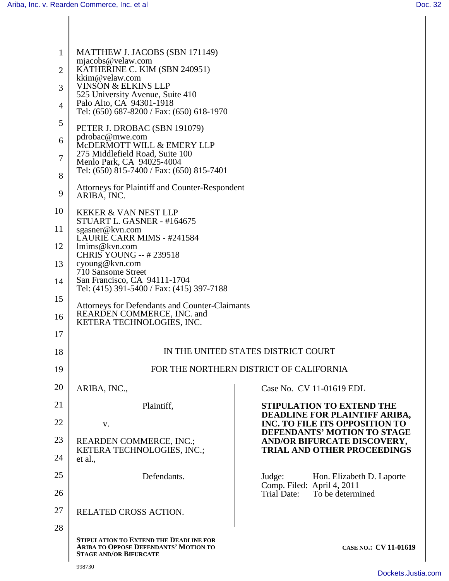| 1              | MATTHEW J. JACOBS (SBN 171149)<br>mjacobs@velaw.com                                                                     |                                                                        |  |
|----------------|-------------------------------------------------------------------------------------------------------------------------|------------------------------------------------------------------------|--|
| $\overline{2}$ | KATHERINE C. KIM (SBN 240951)<br>kkim@velaw.com                                                                         |                                                                        |  |
| 3              | <b>VINSON &amp; ELKINS LLP</b><br>525 University Avenue, Suite 410                                                      |                                                                        |  |
| $\overline{4}$ | Palo Alto, CA 94301-1918<br>Tel: (650) 687-8200 / Fax: (650) 618-1970                                                   |                                                                        |  |
| 5              | PETER J. DROBAC (SBN 191079)                                                                                            |                                                                        |  |
| 6              | pdrobac@mwe.com<br>MCDERMOTT WILL & EMERY LLP                                                                           |                                                                        |  |
| $\overline{7}$ | 275 Middlefield Road, Suite 100<br>Menlo Park, CA 94025-4004                                                            |                                                                        |  |
| 8              | Tel: (650) 815-7400 / Fax: (650) 815-7401                                                                               |                                                                        |  |
| 9              | <b>Attorneys for Plaintiff and Counter-Respondent</b><br>ARIBA, INC.                                                    |                                                                        |  |
| 10             | <b>KEKER &amp; VAN NEST LLP</b><br>STUART L. GASNER - #164675                                                           |                                                                        |  |
| 11             | sgasner@kvn.com<br>LAURIE CARR MIMS - #241584                                                                           |                                                                        |  |
| 12             | lmims@kvn.com<br><b>CHRIS YOUNG -- #239518</b>                                                                          |                                                                        |  |
| 13             | cyoung@kvn.com<br>710 Sansome Street                                                                                    |                                                                        |  |
| 14             | San Francisco, CA 94111-1704<br>Tel: (415) 391-5400 / Fax: (415) 397-7188                                               |                                                                        |  |
| 15             | Attorneys for Defendants and Counter-Claimants                                                                          |                                                                        |  |
| 16             | <b>REARDEN COMMERCE, INC. and</b><br>KETERA TECHNOLOGIES, INC.                                                          |                                                                        |  |
| 17             |                                                                                                                         |                                                                        |  |
| 18             | IN THE UNITED STATES DISTRICT COURT                                                                                     |                                                                        |  |
| 19             | FOR THE NORTHERN DISTRICT OF CALIFORNIA                                                                                 |                                                                        |  |
| 20             | ARIBA, INC.,                                                                                                            | Case No. CV 11-01619 EDL                                               |  |
| 21             | Plaintiff,                                                                                                              | <b>STIPULATION TO EXTEND THE</b>                                       |  |
| 22             | V.                                                                                                                      | DEADLINE FOR PLAINTIFF ARIBA,<br><b>INC. TO FILE ITS OPPOSITION TO</b> |  |
| 23             | <b>REARDEN COMMERCE, INC.;</b>                                                                                          | DEFENDANTS' MOTION TO STAGE<br>AND/OR BIFURCATE DISCOVERY,             |  |
| 24             | KETERA TECHNOLOGIES, INC.;<br>et al.,                                                                                   | <b>TRIAL AND OTHER PROCEEDINGS</b>                                     |  |
| 25             | Defendants.                                                                                                             | Hon. Elizabeth D. Laporte<br>Judge:                                    |  |
| 26             |                                                                                                                         | Comp. Filed: April 4, 2011<br>To be determined<br>Trial Date:          |  |
| 27             | RELATED CROSS ACTION.                                                                                                   |                                                                        |  |
| 28             |                                                                                                                         |                                                                        |  |
|                | <b>STIPULATION TO EXTEND THE DEADLINE FOR</b><br>ARIBA TO OPPOSE DEFENDANTS' MOTION TO<br><b>STAGE AND/OR BIFURCATE</b> | CASE NO.: CV 11-01619                                                  |  |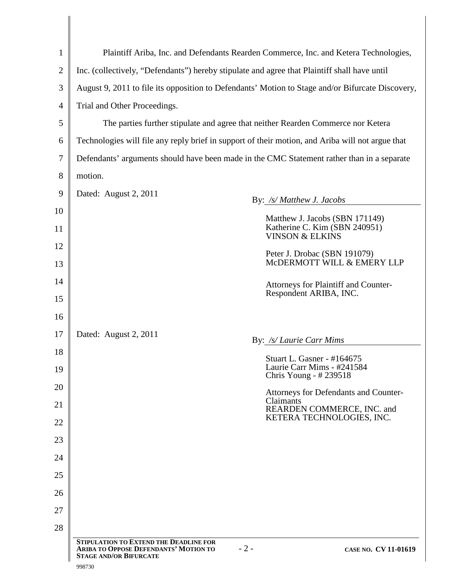| $\mathbf{1}$   | Plaintiff Ariba, Inc. and Defendants Rearden Commerce, Inc. and Ketera Technologies,                                                                     |  |  |
|----------------|----------------------------------------------------------------------------------------------------------------------------------------------------------|--|--|
| $\overline{2}$ | Inc. (collectively, "Defendants") hereby stipulate and agree that Plaintiff shall have until                                                             |  |  |
| 3              | August 9, 2011 to file its opposition to Defendants' Motion to Stage and/or Bifurcate Discovery,                                                         |  |  |
| $\overline{4}$ | Trial and Other Proceedings.                                                                                                                             |  |  |
| 5              | The parties further stipulate and agree that neither Rearden Commerce nor Ketera                                                                         |  |  |
| 6              | Technologies will file any reply brief in support of their motion, and Ariba will not argue that                                                         |  |  |
| 7              | Defendants' arguments should have been made in the CMC Statement rather than in a separate                                                               |  |  |
| 8              | motion.                                                                                                                                                  |  |  |
| 9              | Dated: August 2, 2011<br>By: /s/ Matthew J. Jacobs                                                                                                       |  |  |
| 10             | Matthew J. Jacobs (SBN 171149)                                                                                                                           |  |  |
| 11             | Katherine C. Kim (SBN 240951)<br><b>VINSON &amp; ELKINS</b>                                                                                              |  |  |
| 12             | Peter J. Drobac (SBN 191079)                                                                                                                             |  |  |
| 13             | MCDERMOTT WILL & EMERY LLP                                                                                                                               |  |  |
| 14             | Attorneys for Plaintiff and Counter-<br>Respondent ARIBA, INC.                                                                                           |  |  |
| 15<br>16       |                                                                                                                                                          |  |  |
|                |                                                                                                                                                          |  |  |
| 17             | Dated: August 2, 2011<br>By: /s/ Laurie Carr Mims                                                                                                        |  |  |
| 18<br>19       | Stuart L. Gasner - #164675<br>Laurie Carr Mims - #241584                                                                                                 |  |  |
| 20             | Chris Young - #239518                                                                                                                                    |  |  |
| 21             | Attorneys for Defendants and Counter-<br>Claimants                                                                                                       |  |  |
| 22             | REARDEN COMMERCE, INC. and<br>KETERA TECHNOLOGIES, INC.                                                                                                  |  |  |
| 23             |                                                                                                                                                          |  |  |
| 24             |                                                                                                                                                          |  |  |
| 25             |                                                                                                                                                          |  |  |
| 26             |                                                                                                                                                          |  |  |
| 27             |                                                                                                                                                          |  |  |
| 28             |                                                                                                                                                          |  |  |
|                | <b>STIPULATION TO EXTEND THE DEADLINE FOR</b><br>$-2-$<br>ARIBA TO OPPOSE DEFENDANTS' MOTION TO<br>CASE NO. CV 11-01619<br><b>STAGE AND/OR BIFURCATE</b> |  |  |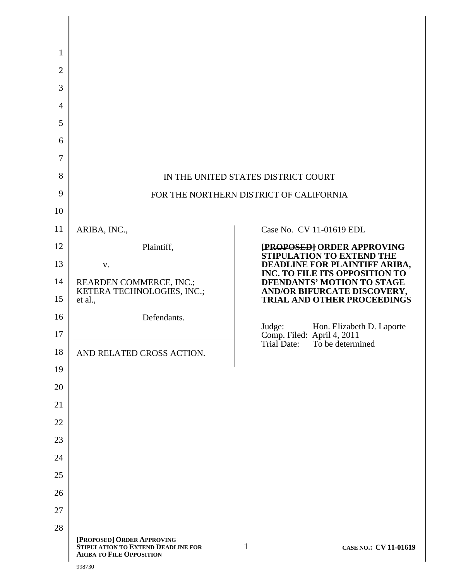| 5<br>6<br>$\overline{7}$<br>8<br>9<br>10                                               |                                                                                                                                  | IN THE UNITED STATES DISTRICT COURT<br>FOR THE NORTHERN DISTRICT OF CALIFORNIA                                                                                                                                                                                                                                                                      |
|----------------------------------------------------------------------------------------|----------------------------------------------------------------------------------------------------------------------------------|-----------------------------------------------------------------------------------------------------------------------------------------------------------------------------------------------------------------------------------------------------------------------------------------------------------------------------------------------------|
| 11                                                                                     | ARIBA, INC.,                                                                                                                     | Case No. CV 11-01619 EDL                                                                                                                                                                                                                                                                                                                            |
| 12<br>13<br>14<br>15<br>16<br>17<br>18<br>19<br>20<br>21<br>22<br>23<br>24<br>25<br>26 | Plaintiff,<br>V.<br>REARDEN COMMERCE, INC.;<br>KETERA TECHNOLOGIES, INC.;<br>et al.,<br>Defendants.<br>AND RELATED CROSS ACTION. | <b>[PROPOSED] ORDER APPROVING<br/>STIPULATION TO EXTEND THE</b><br><b>DEADLINE FOR PLAINTIFF ARIBA,<br/>INC. TO FILE ITS OPPOSITION TO</b><br>DFENDANTS' MOTION TO STAGE<br><b>AND/OR BIFURCATE DISCOVERY,<br/>TRIAL AND OTHER PROCEEDINGS</b><br>Judge:<br>Hon. Elizabeth D. Laporte<br>Comp. Filed: April 4, 2011<br>Trial Date: To be determined |
| 27<br>28                                                                               |                                                                                                                                  |                                                                                                                                                                                                                                                                                                                                                     |
|                                                                                        | [PROPOSED] ORDER APPROVING<br>STIPULATION TO EXTEND DEADLINE FOR<br><b>ARIBA TO FILE OPPOSITION</b>                              | $\mathbf{1}$<br>CASE NO.: CV 11-01619                                                                                                                                                                                                                                                                                                               |